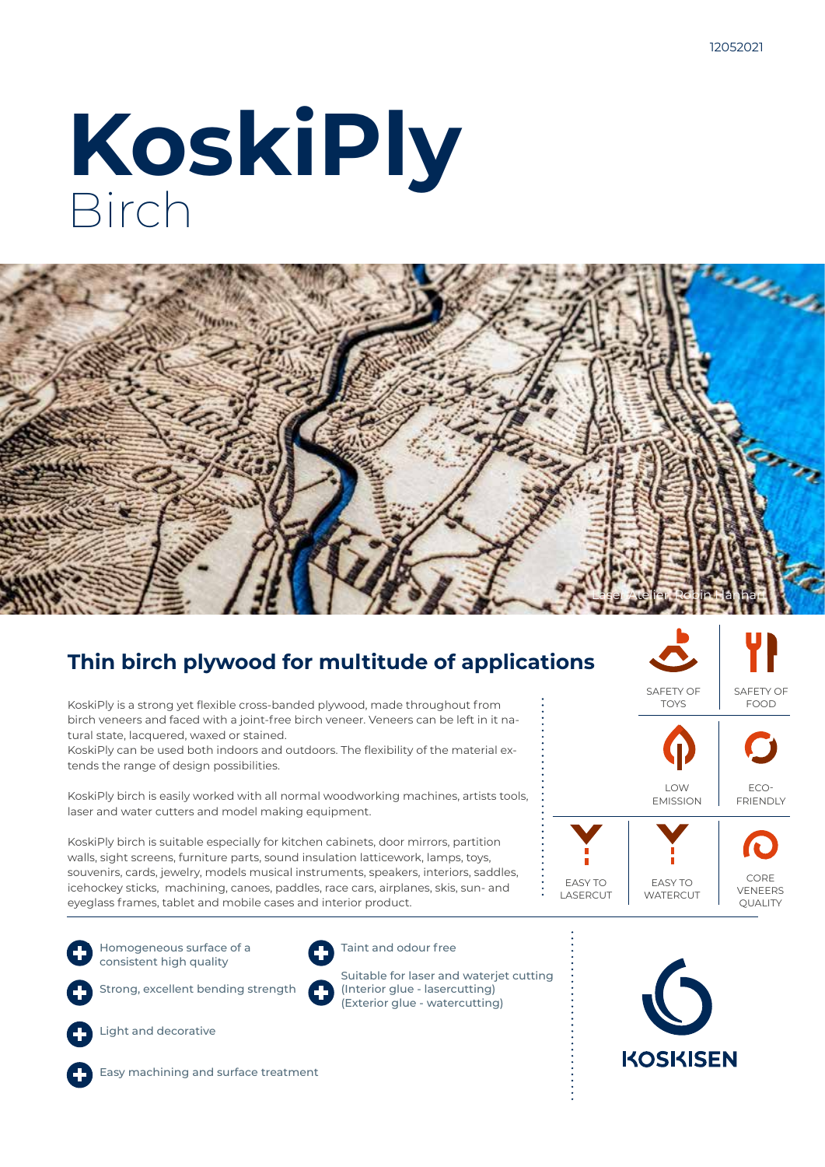# **KoskiPly** Birch



### **Thin birch plywood for multitude of applications**

KoskiPly is a strong yet flexible cross-banded plywood, made throughout from birch veneers and faced with a joint-free birch veneer. Veneers can be left in it natural state, lacquered, waxed or stained.

KoskiPly can be used both indoors and outdoors. The flexibility of the material extends the range of design possibilities.

KoskiPly birch is easily worked with all normal woodworking machines, artists tools, laser and water cutters and model making equipment.

KoskiPly birch is suitable especially for kitchen cabinets, door mirrors, partition walls, sight screens, furniture parts, sound insulation latticework, lamps, toys, souvenirs, cards, jewelry, models musical instruments, speakers, interiors, saddles, icehockey sticks, machining, canoes, paddles, race cars, airplanes, skis, sun- and eyeglass frames, tablet and mobile cases and interior product.

Homogeneous surface of a consistent high quality



Taint and odour free

(Exterior glue - watercutting)

Strong, excellent bending strength



Light and decorative









**KOSKISEN**